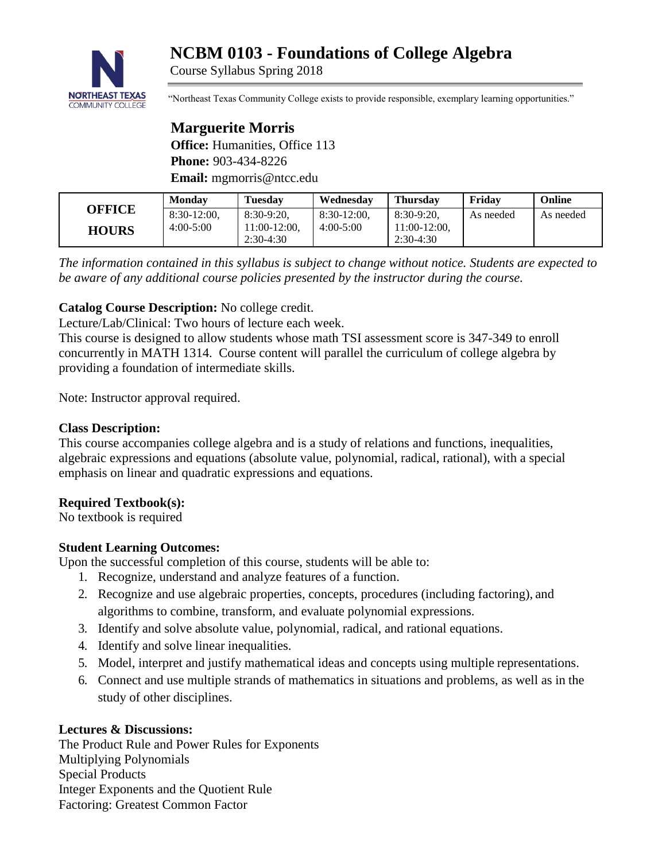# **NCBM 0103 - Foundations of College Algebra**



Course Syllabus Spring 2018

"Northeast Texas Community College exists to provide responsible, exemplary learning opportunities."

# **Marguerite Morris**

**Office:** Humanities, Office 113 **Phone:** 903-434-8226 **Email:** mgmorris@ntcc.edu

| <b>OFFICE</b> | <b>Monday</b>  | <b>Tuesday</b> | Wednesdav      | <b>Thursday</b> | Fridav    | Online    |
|---------------|----------------|----------------|----------------|-----------------|-----------|-----------|
|               | $8:30-12:00$ , | $8:30-9:20$    | $8:30-12:00$ . | 8:30-9:20.      | As needed | As needed |
| <b>HOURS</b>  | $4:00-5:00$    | $1:00-12:00$ , | $4:00-5:00$    | $1:00-12:00$ .  |           |           |
|               |                | $2:30-4:30$    |                | $2:30-4:30$     |           |           |

*The information contained in this syllabus is subject to change without notice. Students are expected to be aware of any additional course policies presented by the instructor during the course.*

# **Catalog Course Description:** No college credit.

Lecture/Lab/Clinical: Two hours of lecture each week.

This course is designed to allow students whose math TSI assessment score is 347-349 to enroll concurrently in MATH 1314. Course content will parallel the curriculum of college algebra by providing a foundation of intermediate skills.

Note: Instructor approval required.

# **Class Description:**

This course accompanies college algebra and is a study of relations and functions, inequalities, algebraic expressions and equations (absolute value, polynomial, radical, rational), with a special emphasis on linear and quadratic expressions and equations.

# **Required Textbook(s):**

No textbook is required

# **Student Learning Outcomes:**

Upon the successful completion of this course, students will be able to:

- 1. Recognize, understand and analyze features of a function.
- 2. Recognize and use algebraic properties, concepts, procedures (including factoring), and algorithms to combine, transform, and evaluate polynomial expressions.
- 3. Identify and solve absolute value, polynomial, radical, and rational equations.
- 4. Identify and solve linear inequalities.
- 5. Model, interpret and justify mathematical ideas and concepts using multiple representations.
- 6. Connect and use multiple strands of mathematics in situations and problems, as well as in the study of other disciplines.

#### **Lectures & Discussions:**

The Product Rule and Power Rules for Exponents Multiplying Polynomials Special Products Integer Exponents and the Quotient Rule Factoring: Greatest Common Factor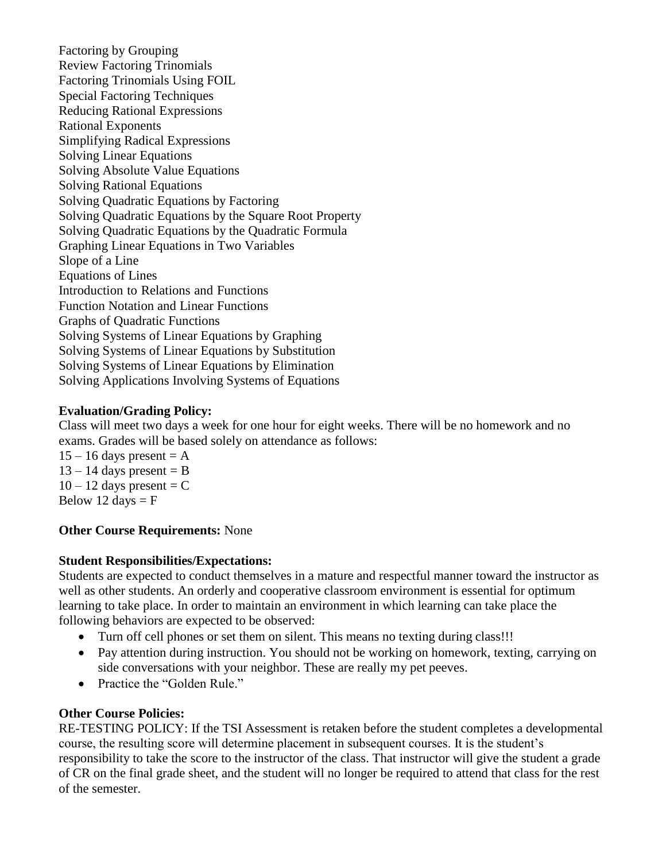Factoring by Grouping Review Factoring Trinomials Factoring Trinomials Using FOIL Special Factoring Techniques Reducing Rational Expressions Rational Exponents Simplifying Radical Expressions Solving Linear Equations Solving Absolute Value Equations Solving Rational Equations Solving Quadratic Equations by Factoring Solving Quadratic Equations by the Square Root Property Solving Quadratic Equations by the Quadratic Formula Graphing Linear Equations in Two Variables Slope of a Line Equations of Lines Introduction to Relations and Functions Function Notation and Linear Functions Graphs of Quadratic Functions Solving Systems of Linear Equations by Graphing Solving Systems of Linear Equations by Substitution Solving Systems of Linear Equations by Elimination Solving Applications Involving Systems of Equations

# **Evaluation/Grading Policy:**

Class will meet two days a week for one hour for eight weeks. There will be no homework and no exams. Grades will be based solely on attendance as follows:

 $15 - 16$  days present = A  $13 - 14$  days present = B  $10 - 12$  days present = C Below 12 days  $=$  F

#### **Other Course Requirements:** None

#### **Student Responsibilities/Expectations:**

Students are expected to conduct themselves in a mature and respectful manner toward the instructor as well as other students. An orderly and cooperative classroom environment is essential for optimum learning to take place. In order to maintain an environment in which learning can take place the following behaviors are expected to be observed:

- Turn off cell phones or set them on silent. This means no texting during class!!!
- Pay attention during instruction. You should not be working on homework, texting, carrying on side conversations with your neighbor. These are really my pet peeves.
- Practice the "Golden Rule."

# **Other Course Policies:**

RE-TESTING POLICY: If the TSI Assessment is retaken before the student completes a developmental course, the resulting score will determine placement in subsequent courses. It is the student's responsibility to take the score to the instructor of the class. That instructor will give the student a grade of CR on the final grade sheet, and the student will no longer be required to attend that class for the rest of the semester.